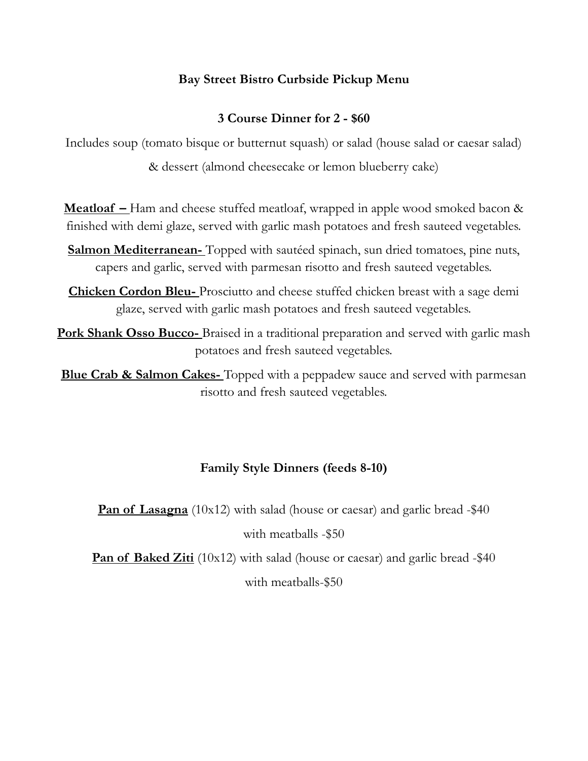# **Bay Street Bistro Curbside Pickup Menu**

#### **3 Course Dinner for 2 - \$60**

Includes soup (tomato bisque or butternut squash) or salad (house salad or caesar salad) & dessert (almond cheesecake or lemon blueberry cake)

**Meatloaf –** Ham and cheese stuffed meatloaf, wrapped in apple wood smoked bacon & finished with demi glaze, served with garlic mash potatoes and fresh sauteed vegetables.

**Salmon Mediterranean-** Topped with sautéed spinach, sun dried tomatoes, pine nuts, capers and garlic, served with parmesan risotto and fresh sauteed vegetables.

**Chicken Cordon Bleu-** Prosciutto and cheese stuffed chicken breast with a sage demi glaze, served with garlic mash potatoes and fresh sauteed vegetables.

**Pork Shank Osso Bucco-** Braised in a traditional preparation and served with garlic mash potatoes and fresh sauteed vegetables.

**Blue Crab & Salmon Cakes-**Topped with a peppadew sauce and served with parmesan risotto and fresh sauteed vegetables.

#### **Family Style Dinners (feeds 8-10)**

**Pan of Lasagna** (10x12) with salad (house or caesar) and garlic bread -\$40 with meatballs -\$50

**Pan of Baked Ziti** (10x12) with salad (house or caesar) and garlic bread -\$40 with meatballs-\$50